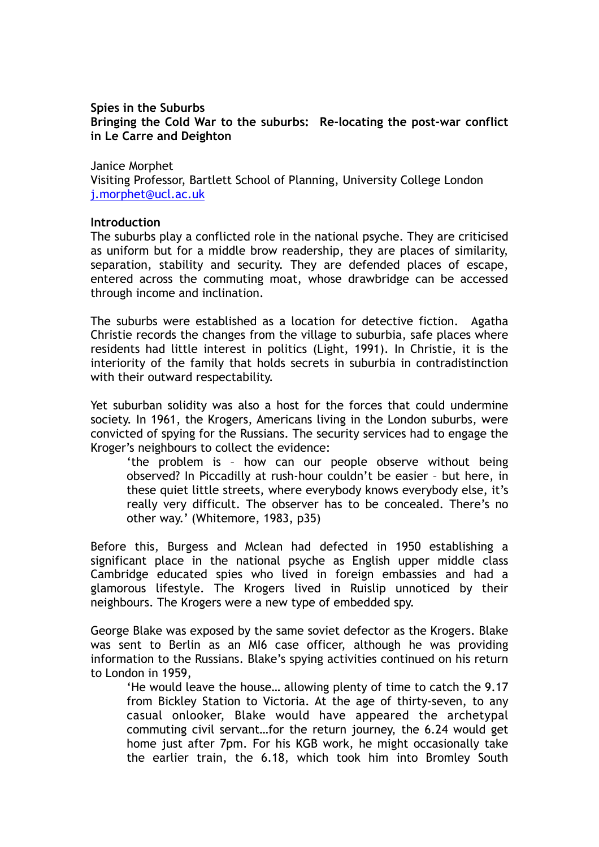### **Spies in the Suburbs Bringing the Cold War to the suburbs: Re-locating the post-war conflict in Le Carre and Deighton**

Janice Morphet

Visiting Professor, Bartlett School of Planning, University College London [j.morphet@ucl.ac.uk](mailto:j.morphet@ucl.ac.uk)

# **Introduction**

The suburbs play a conflicted role in the national psyche. They are criticised as uniform but for a middle brow readership, they are places of similarity, separation, stability and security. They are defended places of escape, entered across the commuting moat, whose drawbridge can be accessed through income and inclination.

The suburbs were established as a location for detective fiction. Agatha Christie records the changes from the village to suburbia, safe places where residents had little interest in politics (Light, 1991). In Christie, it is the interiority of the family that holds secrets in suburbia in contradistinction with their outward respectability.

Yet suburban solidity was also a host for the forces that could undermine society. In 1961, the Krogers, Americans living in the London suburbs, were convicted of spying for the Russians. The security services had to engage the Kroger's neighbours to collect the evidence:

'the problem is – how can our people observe without being observed? In Piccadilly at rush-hour couldn't be easier – but here, in these quiet little streets, where everybody knows everybody else, it's really very difficult. The observer has to be concealed. There's no other way.' (Whitemore, 1983, p35)

Before this, Burgess and Mclean had defected in 1950 establishing a significant place in the national psyche as English upper middle class Cambridge educated spies who lived in foreign embassies and had a glamorous lifestyle. The Krogers lived in Ruislip unnoticed by their neighbours. The Krogers were a new type of embedded spy.

George Blake was exposed by the same soviet defector as the Krogers. Blake was sent to Berlin as an MI6 case officer, although he was providing information to the Russians. Blake's spying activities continued on his return to London in 1959,

'He would leave the house… allowing plenty of time to catch the 9.17 from Bickley Station to Victoria. At the age of thirty-seven, to any casual onlooker, Blake would have appeared the archetypal commuting civil servant…for the return journey, the 6.24 would get home just after 7pm. For his KGB work, he might occasionally take the earlier train, the 6.18, which took him into Bromley South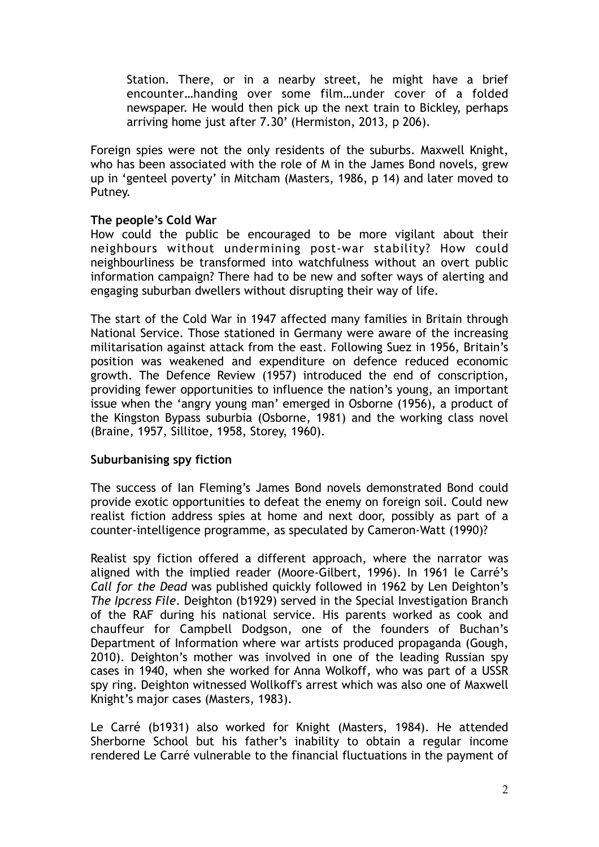Station. There, or in a nearby street, he might have a brief encounter…handing over some film…under cover of a folded newspaper. He would then pick up the next train to Bickley, perhaps arriving home just after 7.30' (Hermiston, 2013, p 206).

Foreign spies were not the only residents of the suburbs. Maxwell Knight, who has been associated with the role of M in the James Bond novels, grew up in 'genteel poverty' in Mitcham (Masters, 1986, p 14) and later moved to Putney.

## **The people's Cold War**

How could the public be encouraged to be more vigilant about their neighbours without undermining post-war stability? How could neighbourliness be transformed into watchfulness without an overt public information campaign? There had to be new and softer ways of alerting and engaging suburban dwellers without disrupting their way of life.

The start of the Cold War in 1947 affected many families in Britain through National Service. Those stationed in Germany were aware of the increasing militarisation against attack from the east. Following Suez in 1956, Britain's position was weakened and expenditure on defence reduced economic growth. The Defence Review (1957) introduced the end of conscription, providing fewer opportunities to influence the nation's young, an important issue when the 'angry young man' emerged in Osborne (1956), a product of the Kingston Bypass suburbia (Osborne, 1981) and the working class novel (Braine, 1957, Sillitoe, 1958, Storey, 1960).

#### **Suburbanising spy fiction**

The success of Ian Fleming's James Bond novels demonstrated Bond could provide exotic opportunities to defeat the enemy on foreign soil. Could new realist fiction address spies at home and next door, possibly as part of a counter-intelligence programme, as speculated by Cameron-Watt (1990)?

Realist spy fiction offered a different approach, where the narrator was aligned with the implied reader (Moore-Gilbert, 1996). In 1961 le Carré's *Call for the Dead* was published quickly followed in 1962 by Len Deighton's *The Ipcress File*. Deighton (b1929) served in the Special Investigation Branch of the RAF during his national service. His parents worked as cook and chauffeur for Campbell Dodgson, one of the founders of Buchan's Department of Information where war artists produced propaganda (Gough, 2010). Deighton's mother was involved in one of the leading Russian spy cases in 1940, when she worked for Anna Wolkoff, who was part of a USSR spy ring. Deighton witnessed Wollkoff's arrest which was also one of Maxwell Knight's major cases (Masters, 1983).

Le Carré (b1931) also worked for Knight (Masters, 1984). He attended Sherborne School but his father's inability to obtain a regular income rendered Le Carré vulnerable to the financial fluctuations in the payment of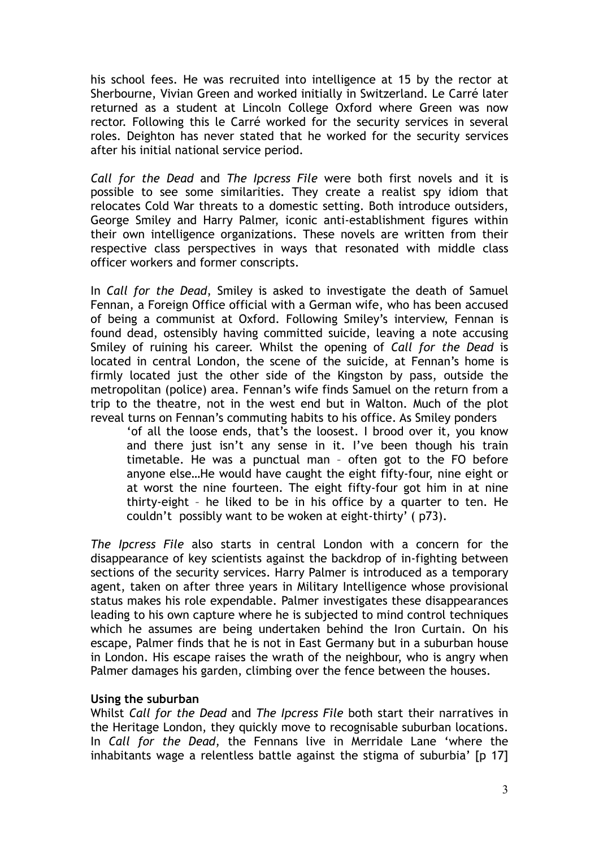his school fees. He was recruited into intelligence at 15 by the rector at Sherbourne, Vivian Green and worked initially in Switzerland. Le Carré later returned as a student at Lincoln College Oxford where Green was now rector. Following this le Carré worked for the security services in several roles. Deighton has never stated that he worked for the security services after his initial national service period.

*Call for the Dead* and *The Ipcress File* were both first novels and it is possible to see some similarities. They create a realist spy idiom that relocates Cold War threats to a domestic setting. Both introduce outsiders, George Smiley and Harry Palmer, iconic anti-establishment figures within their own intelligence organizations. These novels are written from their respective class perspectives in ways that resonated with middle class officer workers and former conscripts.

In *Call for the Dead*, Smiley is asked to investigate the death of Samuel Fennan, a Foreign Office official with a German wife, who has been accused of being a communist at Oxford. Following Smiley's interview, Fennan is found dead, ostensibly having committed suicide, leaving a note accusing Smiley of ruining his career. Whilst the opening of *Call for the Dead* is located in central London, the scene of the suicide, at Fennan's home is firmly located just the other side of the Kingston by pass, outside the metropolitan (police) area. Fennan's wife finds Samuel on the return from a trip to the theatre, not in the west end but in Walton. Much of the plot reveal turns on Fennan's commuting habits to his office. As Smiley ponders

'of all the loose ends, that's the loosest. I brood over it, you know and there just isn't any sense in it. I've been though his train timetable. He was a punctual man – often got to the FO before anyone else…He would have caught the eight fifty-four, nine eight or at worst the nine fourteen. The eight fifty-four got him in at nine thirty-eight – he liked to be in his office by a quarter to ten. He couldn't possibly want to be woken at eight-thirty' ( p73).

*The Ipcress File* also starts in central London with a concern for the disappearance of key scientists against the backdrop of in-fighting between sections of the security services. Harry Palmer is introduced as a temporary agent, taken on after three years in Military Intelligence whose provisional status makes his role expendable. Palmer investigates these disappearances leading to his own capture where he is subjected to mind control techniques which he assumes are being undertaken behind the Iron Curtain. On his escape, Palmer finds that he is not in East Germany but in a suburban house in London. His escape raises the wrath of the neighbour, who is angry when Palmer damages his garden, climbing over the fence between the houses.

## **Using the suburban**

Whilst *Call for the Dead* and *The Ipcress File* both start their narratives in the Heritage London, they quickly move to recognisable suburban locations. In *Call for the Dead*, the Fennans live in Merridale Lane 'where the inhabitants wage a relentless battle against the stigma of suburbia' [p 17]